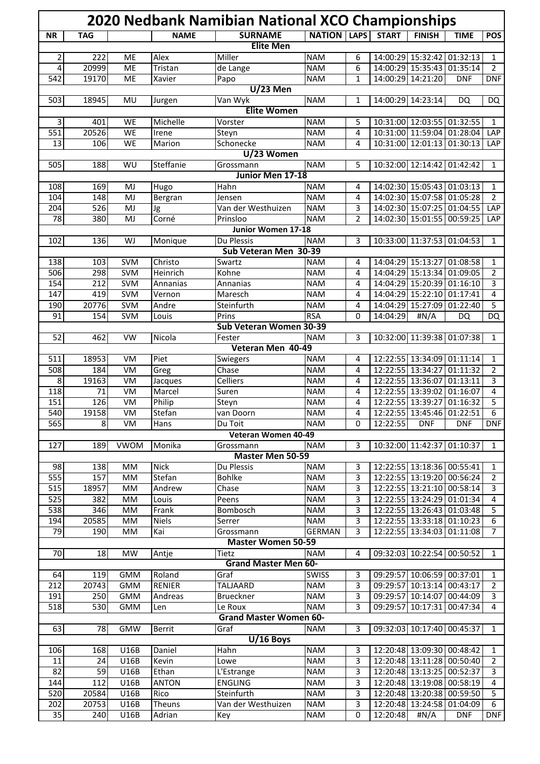| 2020 Nedbank Namibian National XCO Championships                                               |                 |             |                 |                                        |                             |              |              |                                                          |             |                     |
|------------------------------------------------------------------------------------------------|-----------------|-------------|-----------------|----------------------------------------|-----------------------------|--------------|--------------|----------------------------------------------------------|-------------|---------------------|
| <b>NR</b>                                                                                      | <b>TAG</b>      |             | <b>NAME</b>     | <b>SURNAME</b>                         | <b>NATION LAPS</b>          |              | <b>START</b> | <b>FINISH</b>                                            | <b>TIME</b> | <b>POS</b>          |
| <b>Elite Men</b>                                                                               |                 |             |                 |                                        |                             |              |              |                                                          |             |                     |
| 2                                                                                              | 222             | ME          | Alex            | Miller                                 | <b>NAM</b>                  | 6            |              | 14:00:29 15:32:42                                        | 01:32:13    | $\mathbf{1}$        |
| 4                                                                                              | 20999           | ME          | Tristan         | de Lange                               | <b>NAM</b>                  | 6            |              | 14:00:29 15:35:43                                        | 01:35:14    | $\overline{2}$      |
| 542                                                                                            | 19170           | ME          | Xavier          | Papo                                   | <b>NAM</b>                  | $\mathbf{1}$ |              | 14:00:29 14:21:20                                        | <b>DNF</b>  | <b>DNF</b>          |
|                                                                                                |                 |             |                 | $\overline{U/23}$ Men                  |                             |              |              |                                                          |             |                     |
| <b>NAM</b><br>503<br>18945<br>Van Wyk<br>14:00:29<br>14:23:14<br>MU<br>Jurgen<br>1<br>DQ<br>DQ |                 |             |                 |                                        |                             |              |              |                                                          |             |                     |
|                                                                                                |                 |             |                 | <b>Elite Women</b>                     |                             |              |              |                                                          |             |                     |
| 3<br>$\overline{551}$                                                                          | 401<br>20526    | WE<br>WE    | Michelle        | Vorster                                | <b>NAM</b>                  | 5<br>4       |              | 10:31:00 12:03:55 01:32:55<br>10:31:00 11:59:04          |             | 1<br>LAP            |
| 13                                                                                             | 106             | WE          | Irene<br>Marion | Steyn<br>Schonecke                     | <b>NAM</b><br><b>NAM</b>    | 4            |              | 10:31:00 12:01:13 01:30:13                               | 01:28:04    | LAP                 |
|                                                                                                |                 |             |                 | U/23 Women                             |                             |              |              |                                                          |             |                     |
| 505                                                                                            | 188             | WU          | Steffanie       | Grossmann                              | <b>NAM</b>                  | 5            |              | 10:32:00 12:14:42 01:42:42                               |             | 1                   |
|                                                                                                |                 |             |                 | Junior Men 17-18                       |                             |              |              |                                                          |             |                     |
| 108                                                                                            | 169             | MJ          | Hugo            | Hahn                                   | <b>NAM</b>                  | 4            |              | 14:02:30 15:05:43 01:03:13                               |             | $\mathbf{1}$        |
| 104                                                                                            | 148             | MJ          | Bergran         | Jensen                                 | <b>NAM</b>                  | 4            |              | 14:02:30 15:07:58 01:05:28                               |             | $\overline{2}$      |
| 204                                                                                            | 526             | MJ          | Jg              | Van der Westhuizen                     | <b>NAM</b>                  | 3            |              | 14:02:30 15:07:25 01:04:55                               |             | LAP                 |
| 78                                                                                             | 380             | MJ          | Corné           | Prinsloo                               | <b>NAM</b>                  | 2            |              | 14:02:30 15:01:55                                        | 00:59:25    | <b>LAP</b>          |
|                                                                                                |                 |             |                 | Junior Women 17-18                     |                             |              |              |                                                          |             |                     |
| 102                                                                                            | 136             | WJ          | Monique         | Du Plessis                             | <b>NAM</b>                  | 3            |              | 10:33:00 11:37:53 01:04:53                               |             | $\mathbf{1}$        |
|                                                                                                |                 |             |                 | Sub Veteran Men 30-39                  |                             |              |              |                                                          |             |                     |
| 138                                                                                            | 103             | <b>SVM</b>  | Christo         | Swartz                                 | <b>NAM</b>                  | 4            |              | 14:04:29 15:13:27 01:08:58                               |             | $\mathbf{1}$        |
| 506                                                                                            | 298             | <b>SVM</b>  | Heinrich        | Kohne                                  | <b>NAM</b>                  | 4            |              | 14:04:29 15:13:34                                        | 01:09:05    | 2                   |
| 154                                                                                            | 212             | <b>SVM</b>  | Annanias        | Annanias                               | <b>NAM</b>                  | 4            |              | 14:04:29 15:20:39 01:16:10                               |             | 3                   |
| 147                                                                                            | 419             | <b>SVM</b>  | Vernon          | Maresch                                | <b>NAM</b>                  | 4            | 14:04:29     | 15:22:10                                                 | 01:17:41    | 4                   |
| 190                                                                                            | 20776           | <b>SVM</b>  | Andre           | Steinfurth                             | <b>NAM</b>                  | 4            |              | 14:04:29 15:27:09                                        | 01:22:40    | 5                   |
| 91                                                                                             | 154             | <b>SVM</b>  | Louis           | Prins<br>Sub Veteran Women 30-39       | <b>RSA</b>                  | 0            | 14:04:29     | #N/A                                                     | DQ          | DQ                  |
| 52                                                                                             | 462             | VW          | Nicola          | Fester                                 | <b>NAM</b>                  | 3            |              | 10:32:00 11:39:38 01:07:38                               |             | $\mathbf{1}$        |
|                                                                                                |                 |             |                 | Veteran Men 40-49                      |                             |              |              |                                                          |             |                     |
| 511                                                                                            | 18953           | VM          | Piet            | Swiegers                               | <b>NAM</b>                  | 4            | 12:22:55     | 13:34:09 01:11:14                                        |             | $\mathbf{1}$        |
| 508                                                                                            | 184             | VM          | Greg            | Chase                                  | <b>NAM</b>                  | 4            | 12:22:55     | 13:34:27                                                 | 01:11:32    | 2                   |
| 8                                                                                              | 19163           | VM          | Jacques         | <b>Celliers</b>                        | <b>NAM</b>                  | 4            | 12:22:55     | 13:36:07                                                 | 01:13:11    | 3                   |
| 118                                                                                            | 71              | VM          | Marcel          | Suren                                  | <b>NAM</b>                  | 4            | 12:22:55     | 13:39:02                                                 | 01:16:07    | $\overline{4}$      |
| 151                                                                                            | 126             | VM          | Philip          | Steyn                                  | <b>NAM</b>                  | 4            |              | 12:22:55 13:39:27                                        | 01:16:32    | 5                   |
| 540                                                                                            | 19158           | VM          | Stefan          | van Doorn                              | <b>NAM</b>                  | 4            |              | 12:22:55 13:45:46 01:22:51                               |             | 6                   |
| 565                                                                                            | 8 <sup>1</sup>  | VM          | Hans            | Du Toit                                | <b>NAM</b>                  | 0            | 12:22:55     | <b>DNF</b>                                               | <b>DNF</b>  | <b>DNF</b>          |
|                                                                                                |                 |             |                 | Veteran Women 40-49                    |                             |              |              |                                                          |             |                     |
| 127                                                                                            | 189             | <b>VWOM</b> | Monika          | Grossmann                              | <b>NAM</b>                  | 3            |              | 10:32:00 11:42:37 01:10:37                               |             | $\mathbf{1}$        |
|                                                                                                |                 |             |                 | <b>Master Men 50-59</b>                |                             |              |              |                                                          |             |                     |
| 98                                                                                             | 138             | MM          | <b>Nick</b>     | Du Plessis                             | <b>NAM</b>                  | 3            |              | 12:22:55 13:18:36 00:55:41                               |             | $\mathbf{1}$        |
| 555                                                                                            | 157             | MM          | Stefan          | <b>Bohlke</b>                          | <b>NAM</b>                  | 3            |              | 12:22:55 13:19:20 00:56:24                               |             | $\overline{2}$      |
| 515                                                                                            | 18957           | MM          | Andrew          | Chase                                  | <b>NAM</b>                  | 3            |              | 12:22:55 13:21:10                                        | 00:58:14    | 3                   |
| 525                                                                                            | 382             | MM          | Louis           | Peens                                  | <b>NAM</b>                  | 3            |              | 12:22:55 13:24:29                                        | 01:01:34    | 4                   |
| 538                                                                                            | 346             | MM          | Frank           | Bombosch                               | <b>NAM</b>                  | 3            |              | 12:22:55 13:26:43 01:03:48                               |             | 5                   |
| 194<br>79                                                                                      | 20585           | MM          | <b>Niels</b>    | Serrer                                 | <b>NAM</b><br><b>GERMAN</b> | 3<br>3       |              | 12:22:55 13:33:18 01:10:23<br>12:22:55 13:34:03 01:11:08 |             | 6<br>$\overline{7}$ |
|                                                                                                | 190             | MM          | Kai             | Grossmann<br><b>Master Women 50-59</b> |                             |              |              |                                                          |             |                     |
| $\overline{10}$                                                                                | $\overline{18}$ | <b>MW</b>   | Antje           | Tietz                                  | <b>NAM</b>                  | 4            |              | 09:32:03 10:22:54 00:50:52                               |             | $\mathbf{1}$        |
|                                                                                                |                 |             |                 | <b>Grand Master Men 60-</b>            |                             |              |              |                                                          |             |                     |
| 64                                                                                             | 119             | <b>GMM</b>  | Roland          | Graf                                   | <b>SWISS</b>                | 3            |              | 09:29:57 10:06:59 00:37:01                               |             | $\mathbf{1}$        |
| 212                                                                                            | 20743           | <b>GMM</b>  | <b>RENIER</b>   | <b>TALJAARD</b>                        | <b>NAM</b>                  | 3            | 09:29:57     | 10:13:14                                                 | 00:43:17    | 2                   |
| 191                                                                                            | 250             | <b>GMM</b>  | Andreas         | Brueckner                              | <b>NAM</b>                  | 3            | 09:29:57     | 10:14:07                                                 | 00:44:09    | 3                   |
| 518                                                                                            | 530             | <b>GMM</b>  | Len             | Le Roux                                | <b>NAM</b>                  | 3            | 09:29:57     | 10:17:31 00:47:34                                        |             | 4                   |
|                                                                                                |                 |             |                 | <b>Grand Master Women 60-</b>          |                             |              |              |                                                          |             |                     |
| 63                                                                                             | 78              | <b>GMW</b>  | <b>Berrit</b>   | Graf                                   | <b>NAM</b>                  | 3            |              | 09:32:03 10:17:40 00:45:37                               |             | $\mathbf{1}$        |
|                                                                                                |                 |             |                 | $U/16$ Boys                            |                             |              |              |                                                          |             |                     |
| 106                                                                                            | 168             | U16B        | Daniel          | Hahn                                   | <b>NAM</b>                  | 3            |              | 12:20:48 13:09:30 00:48:42                               |             | $\mathbf{1}$        |
| 11                                                                                             | 24              | U16B        | Kevin           | Lowe                                   | <b>NAM</b>                  | 3            |              | 12:20:48 13:11:28                                        | 00:50:40    | 2                   |
| 82                                                                                             | 59              | U16B        | Ethan           | L'Estrange                             | <b>NAM</b>                  | 3            |              | 12:20:48 13:13:25                                        | 00:52:37    | 3                   |
| 144                                                                                            | 112             | U16B        | <b>ANTON</b>    | <b>ENGLING</b>                         | <b>NAM</b>                  | 3            |              | 12:20:48 13:19:08                                        | 00:58:19    | 4                   |
| 520                                                                                            | 20584           | U16B        | Rico            | Steinfurth                             | <b>NAM</b>                  | 3            |              | 12:20:48 13:20:38                                        | 00:59:50    | 5                   |
| 202                                                                                            | 20753           | U16B        | <b>Theuns</b>   | Van der Westhuizen                     | <b>NAM</b>                  | 3            | 12:20:48     | 13:24:58                                                 | 01:04:09    | 6                   |
| $\overline{35}$                                                                                | 240             | U16B        | Adrian          | Key                                    | <b>NAM</b>                  | 0            | 12:20:48     | #N/A                                                     | <b>DNF</b>  | <b>DNF</b>          |